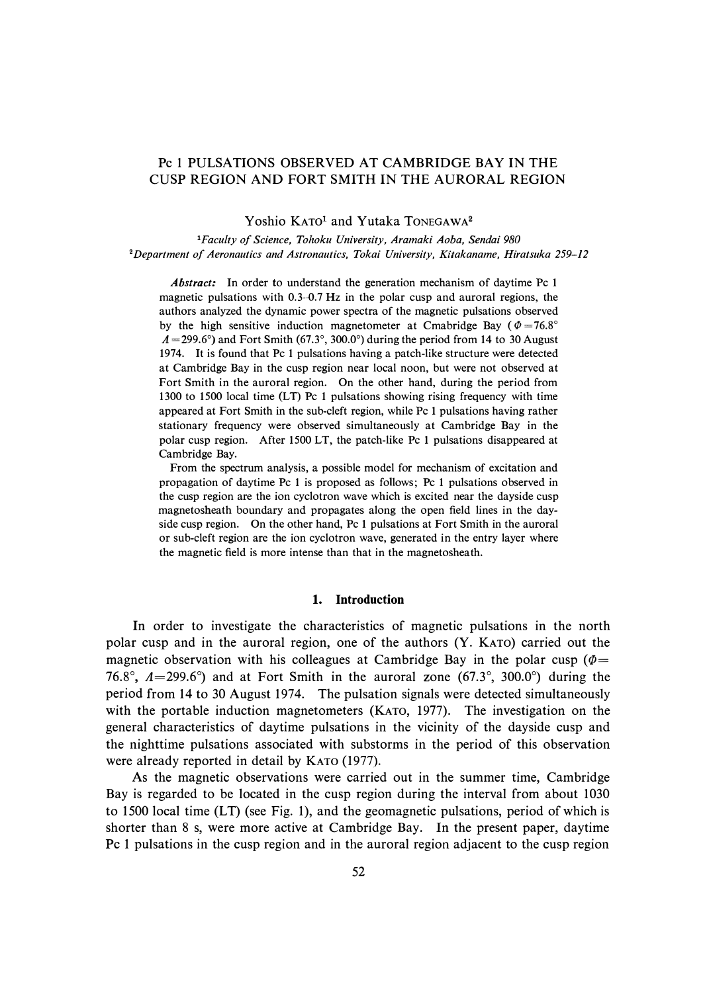# Pc 1 PULSATIONS OBSERVED AT CAMBRIDGE BAY IN THE CUSP REGION AND FORT SMITH IN THE AURORAL REGION

Yoshio KATO<sup>1</sup> and Yutaka TONEGAWA<sup>2</sup>

*<sup>1</sup>Faculty of Science, Tohoku University, Aramaki Aoba, Sendai 980 <sup>2</sup>Department of Aeronautics and Astronautics, Tokai University, Kitakaname, Hiratsuka 259-12* 

*Abstract:* In order to understand the generation mechanism of daytime Pc 1 magnetic pulsations with 0.3-0.7 Hz in the polar cusp and auroral regions, the authors analyzed the dynamic power spectra of the magnetic pulsations observed by the high sensitive induction magnetometer at Cmabridge Bay ( $\Phi = 76.8^{\circ}$ )  $A = 299.6^{\circ}$ ) and Fort Smith (67.3°, 300.0°) during the period from 14 to 30 August 1974. It is found that Pc 1 pulsations having a patch-like structure were detected at Cambridge Bay in the cusp region near local noon, but were not observed at Fort Smith in the auroral region. On the other hand, during the period from 1300 to 1500 local time (LT) Pc 1 pulsations showing rising frequency with time appeared at Fort Smith in the sub-cleft region, while Pc 1 pulsations having rather stationary frequency were observed simultaneously at Cambridge Bay in the polar cusp region. After 1500 LT, the patch-like Pc 1 pulsations disappeared at Cambridge Bay.

From the spectrum analysis, a possible model for mechanism of excitation and propagation of daytime Pc 1 is proposed as follows; Pc 1 pulsations observed in the cusp region are the ion cyclotron wave which is excited near the dayside cusp magnetosheath boundary and propagates along the open field lines in the dayside cusp region. On the other hand, Pc 1 pulsations at Fort Smith in the auroral or sub-cleft region are the ion cyclotron wave, generated in the entry layer where the magnetic field is more intense than that in the magnetosheath.

### **1. Introduction**

**In** order to investigate the characteristics of magnetic pulsations in the north polar cusp and in the auroral region, one of the authors (Y. KATO) carried out the magnetic observation with his colleagues at Cambridge Bay in the polar cusp ( $\Phi$  = 76.8°,  $A=299.6$ °) and at Fort Smith in the auroral zone (67.3°, 300.0°) during the period from 14 to 30 August 1974. The pulsation signals were detected simultaneously with the portable induction magnetometers (KATO, 1977). The investigation on the general characteristics of daytime pulsations in the vicinity of the dayside cusp and the nighttime pulsations associated with substorms in the period of this observation were already reported in detail by KATO (1977).

As the magnetic observations were carried out in the summer time, Cambridge Bay is regarded to be located in the cusp region during the interval from about 1030 to 1500 local time (LT) (see Fig. 1), and the geomagnetic pulsations, period of which is shorter than 8 s, were more active at Cambridge Bay. **In** the present paper, daytime Pc 1 pulsations in the cusp region and in the auroral region adjacent to the cusp region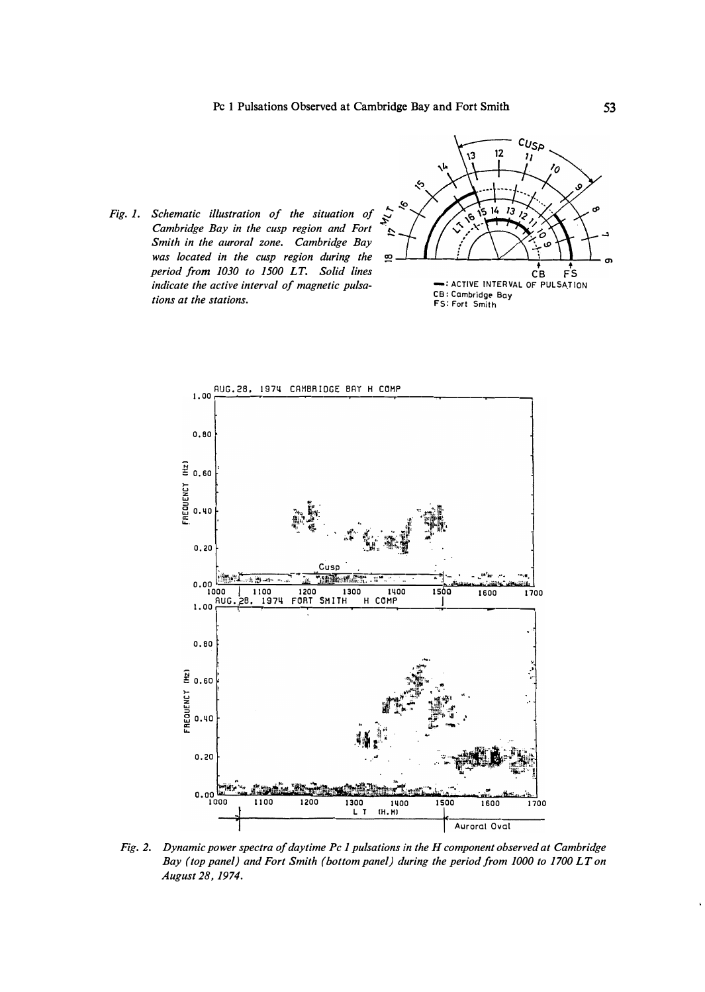





Fig. 2. Dynamic power spectra of daytime Pc 1 pulsations in the H component observed at Cambridge Bay (top panel) and Fort Smith (bottom panel) during the period from 1000 to 1700 LT on August 28, 1974.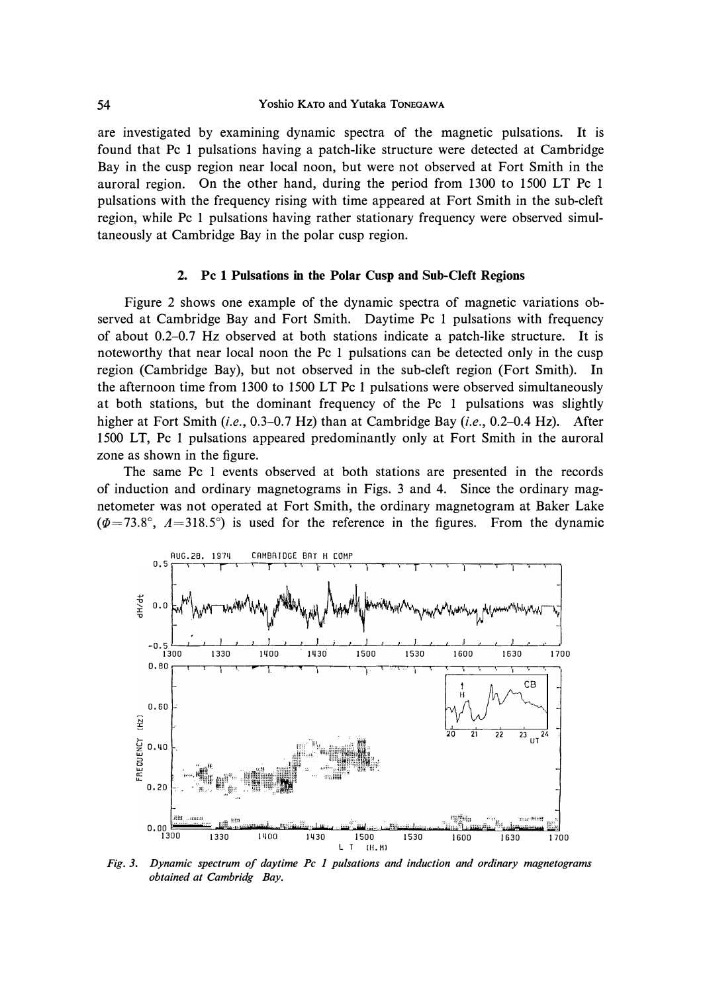**are investigated by examining dynamic spectra of the magnetic pulsations. It is found that Pc 1 pulsations having a patch-like structure were detected at Cambridge Bay in the cusp region near local noon, but were not observed at Fort Smith in the auroral region. On the other hand, during the period from 1300 to 1500 LT Pc 1 pulsations with the frequency rising with time appeared at Fort Smith in the sub-cleft region, while Pc 1 pulsations having rather stationary frequency were observed simultaneously at Cambridge Bay in the polar cusp region.** 

### **2. Pc 1 Pulsations in the Polar Cusp and Sub-Cleft Regions**

**Figure 2 shows one example of the dynamic spectra of magnetic variations observed at Cambridge Bay and Fort Smith. Daytime Pc 1 pulsations with frequency of about 0.2-0. 7 Hz observed at both stations indicate a patch-like structure. It is noteworthy that near local noon the Pc 1 pulsations can be detected only in the cusp region (Cambridge Bay), but not observed in the sub-cleft region (Fort Smith). In the afternoon time from 1300 to 1500 LT Pc 1 pulsations were observed simultaneously at both stations, but the dominant frequency of the Pc 1 pulsations was slightly higher at Fort Smith** *(i.e.,* **0.3-0. 7 Hz) than at Cambridge Bay** *(i.e.,* **0.2-0.4 Hz). After 1500 LT, Pc 1 pulsations appeared predominantly only at Fort Smith in the auroral zone as shown in the figure.** 

**The same Pc 1 events observed at both stations are presented in the records of induction and ordinary magnetograms in Figs. 3 and 4. Since the ordinary magnetometer was not operated at Fort Smith, the ordinary magnetogram at Baker Lake**   $(\Phi = 73.8^{\circ}, \ \Lambda = 318.5^{\circ})$  is used for the reference in the figures. From the dynamic



*Fig. 3. Dynamic spectrum of daytime Pc 1 pulsations and induction and ordinary magnetograms obtained at Cambridg Bay.*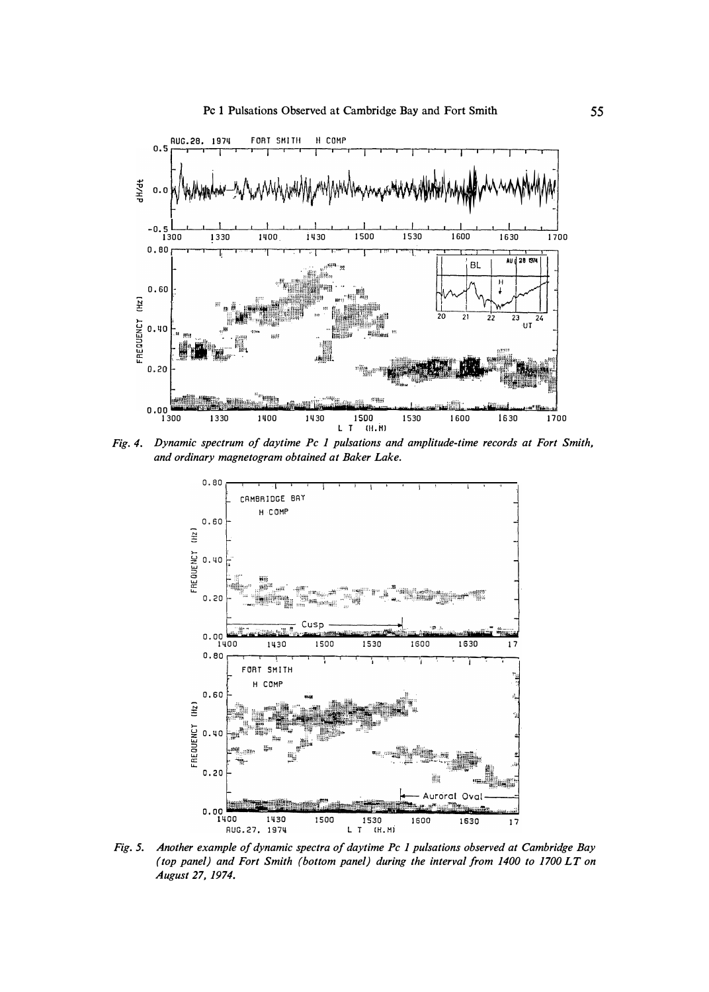

Fig. 4. Dynamic spectrum of daytime Pc 1 pulsations and amplitude-time records at Fort Smith, and ordinary magnetogram obtained at Baker Lake.



Fig. 5. Another example of dynamic spectra of daytime Pc 1 pulsations observed at Cambridge Bay (top panel) and Fort Smith (bottom panel) during the interval from 1400 to 1700 LT on August 27, 1974.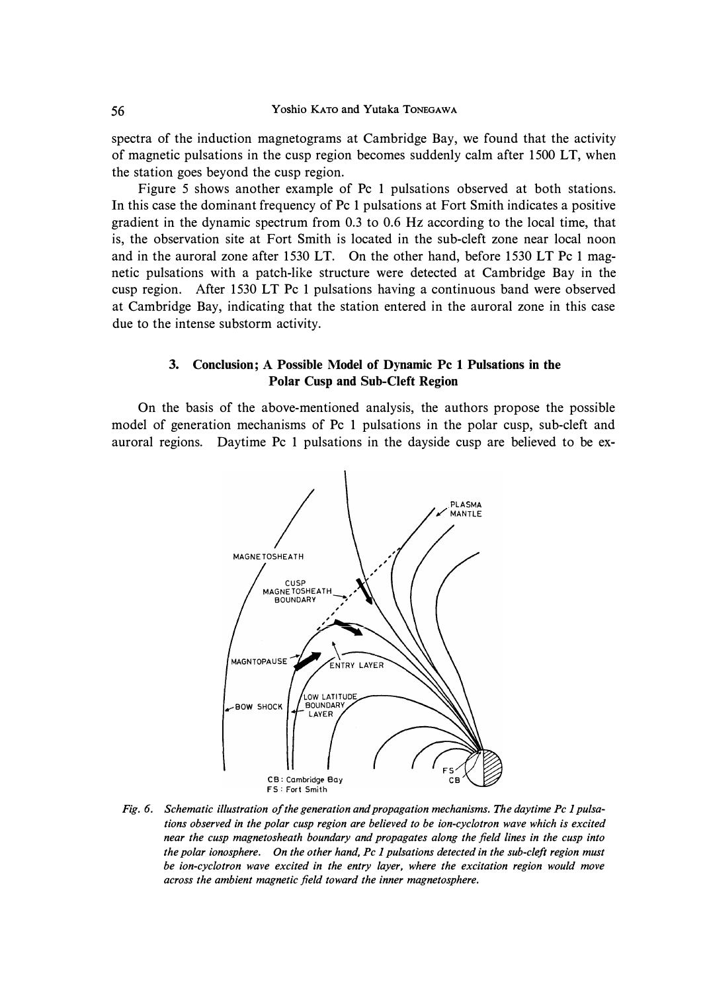spectra of the induction magnetograms at Cambridge Bay, we found that the activity of magnetic pulsations in the cusp region becomes suddenly calm after 1500 LT, when the station goes beyond the cusp region.

Figure 5 shows another example of Pc 1 pulsations observed at both stations. In this case the dominant frequency of Pc 1 pulsations at Fort Smith indicates a positive gradient in the dynamic spectrum from 0.3 to 0.6 Hz according to the local time, that is, the observation site at Fort Smith is located in the sub-cleft zone near local noon and in the auroral zone after 1530 LT. On the other hand, before 1530 LT Pc 1 magnetic pulsations with a patch-like structure were detected at Cambridge Bay in the cusp region. After 1530 LT Pc 1 pulsations having a continuous band were observed at Cambridge Bay, indicating that the station entered in the auroral zone in this case due to the intense substorm activity.

## **3. Conclusion; A Possible Model of Dynamic Pc 1 Pulsations in the Polar Cusp and Sub-Cleft Region**

On the basis of the above-mentioned analysis, the authors propose the possible model of generation mechanisms of Pc 1 pulsations in the polar cusp, sub-cleft and auroral regions. Daytime Pc 1 pulsations in the dayside cusp are believed to be ex-



*Fig. 6. Schematic illustration of the generation and propagation mechanisms. The daytime Pc I pulsations observed in the polar cusp region are believed to be ion-cyclotron wave which is excited near the cusp magnetosheath boundary and propagates along the field lines in the cusp into the polar ionosphere. On the other hand, Pc I pulsations detected in the sub-cleft region must be ion-cyclotron wave excited in the entry layer, where the excitation region would move across the ambient magnetic field toward the inner magnetosphere.*